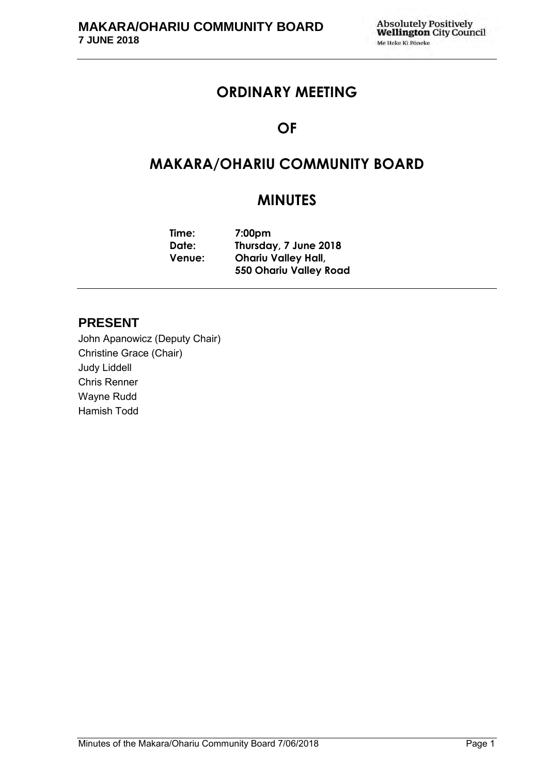# **ORDINARY MEETING**

# **OF**

# **MAKARA/OHARIU COMMUNITY BOARD**

# **MINUTES**

| Time:         | 7:00 <sub>pm</sub>            |  |
|---------------|-------------------------------|--|
| Date:         | Thursday, 7 June 2018         |  |
| <b>Venue:</b> | <b>Ohariu Valley Hall,</b>    |  |
|               | <b>550 Ohariu Valley Road</b> |  |

# **PRESENT**

John Apanowicz (Deputy Chair) Christine Grace (Chair) Judy Liddell Chris Renner Wayne Rudd Hamish Todd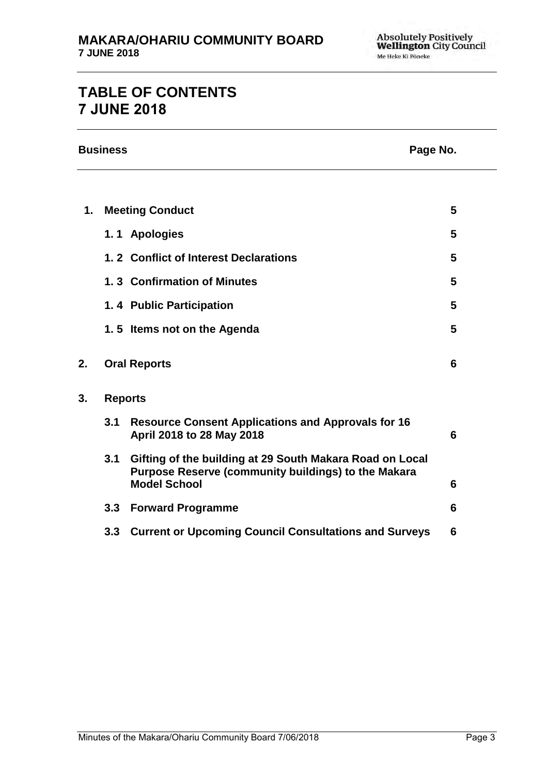# **TABLE OF CONTENTS 7 JUNE 2018**

|    | <b>Business</b> |                                                                                                                                        | Page No. |
|----|-----------------|----------------------------------------------------------------------------------------------------------------------------------------|----------|
|    |                 |                                                                                                                                        |          |
| 1. |                 | <b>Meeting Conduct</b>                                                                                                                 | 5        |
|    |                 | 1.1 Apologies                                                                                                                          | 5        |
|    |                 | 1.2 Conflict of Interest Declarations                                                                                                  | 5        |
|    |                 | 1.3 Confirmation of Minutes                                                                                                            | 5        |
|    |                 | 1.4 Public Participation                                                                                                               | 5        |
|    |                 | 1.5 Items not on the Agenda                                                                                                            | 5        |
| 2. |                 | <b>Oral Reports</b>                                                                                                                    | 6        |
| 3. |                 | <b>Reports</b>                                                                                                                         |          |
|    | 3.1             | <b>Resource Consent Applications and Approvals for 16</b><br>April 2018 to 28 May 2018                                                 | 6        |
|    | 3.1             | Gifting of the building at 29 South Makara Road on Local<br>Purpose Reserve (community buildings) to the Makara<br><b>Model School</b> | 6        |
|    | 3.3             | <b>Forward Programme</b>                                                                                                               | 6        |
|    | 3.3             | <b>Current or Upcoming Council Consultations and Surveys</b>                                                                           | 6        |
|    |                 |                                                                                                                                        |          |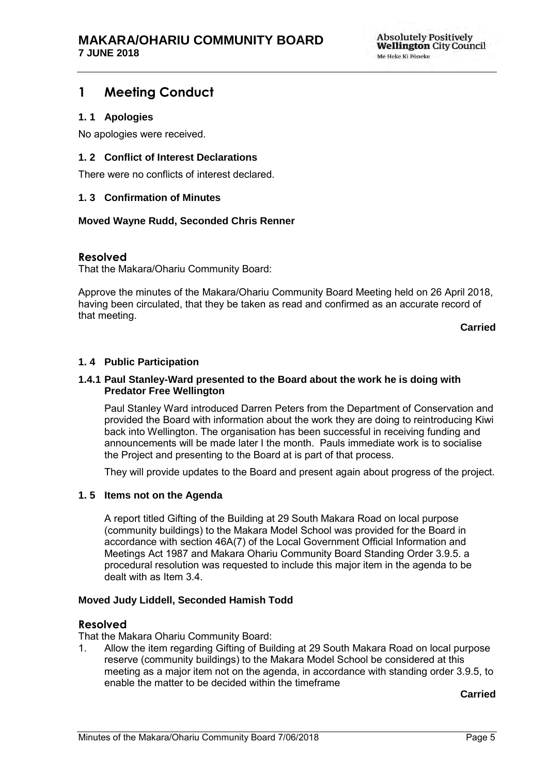# <span id="page-4-0"></span>**1 Meeting Conduct**

### <span id="page-4-1"></span>**1. 1 Apologies**

No apologies were received.

### <span id="page-4-2"></span>**1. 2 Conflict of Interest Declarations**

There were no conflicts of interest declared.

### <span id="page-4-3"></span>**1. 3 Confirmation of Minutes**

### **Moved Wayne Rudd, Seconded Chris Renner**

### **Resolved**

That the Makara/Ohariu Community Board:

Approve the minutes of the Makara/Ohariu Community Board Meeting held on 26 April 2018, having been circulated, that they be taken as read and confirmed as an accurate record of that meeting.

**Carried**

### <span id="page-4-5"></span>**1. 4 Public Participation**

#### **1.4.1 Paul Stanley-Ward presented to the Board about the work he is doing with Predator Free Wellington**

Paul Stanley Ward introduced Darren Peters from the Department of Conservation and provided the Board with information about the work they are doing to reintroducing Kiwi back into Wellington. The organisation has been successful in receiving funding and announcements will be made later I the month. Pauls immediate work is to socialise the Project and presenting to the Board at is part of that process.

They will provide updates to the Board and present again about progress of the project.

### <span id="page-4-4"></span>**1. 5 Items not on the Agenda**

A report titled Gifting of the Building at 29 South Makara Road on local purpose (community buildings) to the Makara Model School was provided for the Board in accordance with section 46A(7) of the Local Government Official Information and Meetings Act 1987 and Makara Ohariu Community Board Standing Order 3.9.5. a procedural resolution was requested to include this major item in the agenda to be dealt with as Item 3.4.

### **Moved Judy Liddell, Seconded Hamish Todd**

### **Resolved**

That the Makara Ohariu Community Board:

1. Allow the item regarding Gifting of Building at 29 South Makara Road on local purpose reserve (community buildings) to the Makara Model School be considered at this meeting as a major item not on the agenda, in accordance with standing order 3.9.5, to enable the matter to be decided within the timeframe

**Carried**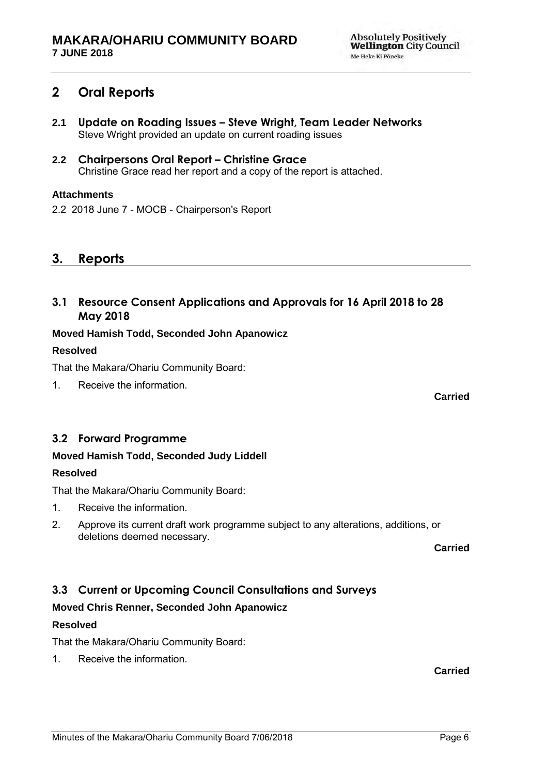# **2 Oral Reports**

- **2.1 Update on Roading Issues – Steve Wright, Team Leader Networks**  Steve Wright provided an update on current roading issues
- **2.2 Chairpersons Oral Report – Christine Grace** Christine Grace read her report and a copy of the report is attached.

### **Attachments**

2.2 2018 June 7 - MOCB - Chairperson's Report

## **3. Reports**

**3.1 Resource Consent Applications and Approvals for 16 April 2018 to 28 May 2018**

### **Moved Hamish Todd, Seconded John Apanowicz**

### **Resolved**

That the Makara/Ohariu Community Board:

1. Receive the information.

## <span id="page-5-0"></span>**3.2 Forward Programme**

### **Moved Hamish Todd, Seconded Judy Liddell**

### **Resolved**

That the Makara/Ohariu Community Board:

- 1. Receive the information.
- 2. Approve its current draft work programme subject to any alterations, additions, or deletions deemed necessary.

**Carried**

**Carried**

## <span id="page-5-1"></span>**3.3 Current or Upcoming Council Consultations and Surveys**

### **Moved Chris Renner, Seconded John Apanowicz**

### **Resolved**

That the Makara/Ohariu Community Board:

1. Receive the information.

**Carried**